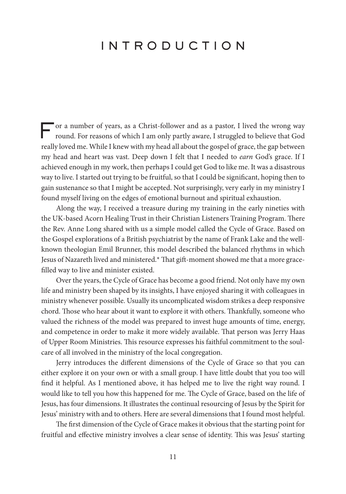## INTRODUCTION

For a number of years, as a Christ-follower and as a pastor, I lived the wrong way round. For reasons of which I am only partly aware, I struggled to believe that God really loved me. While I knew with my head all about the gospel of grace, the gap between my head and heart was vast. Deep down I felt that I needed to earn God's grace. If I achieved enough in my work, then perhaps I could get God to like me. It was a disastrous way to live. I started out trying to be fruitful, so that I could be signifcant, hoping then to gain sustenance so that I might be accepted. Not surprisingly, very early in my ministry I found myself living on the edges of emotional burnout and spiritual exhaustion.

Along the way, I received a treasure during my training in the early nineties with the UK-based Acorn Healing Trust in their Christian Listeners Training Program. There the Rev. Anne Long shared with us a simple model called the Cycle of Grace. Based on the Gospel explorations of a British psychiatrist by the name of Frank Lake and the wellknown theologian Emil Brunner, this model described the balanced rhythms in which Jesus of Nazareth lived and ministered.\* That gift-moment showed me that a more graceflled way to live and minister existed.

Over the years, the Cycle of Grace has become a good friend. Not only have my own life and ministry been shaped by its insights, I have enjoyed sharing it with colleagues in ministry whenever possible. Usually its uncomplicated wisdom strikes a deep responsive chord. Tose who hear about it want to explore it with others. Tankfully, someone who valued the richness of the model was prepared to invest huge amounts of time, energy, and competence in order to make it more widely available. That person was Jerry Haas of Upper Room Ministries. Tis resource expresses his faithful commitment to the soulcare of all involved in the ministry of the local congregation.

Jerry introduces the diferent dimensions of the Cycle of Grace so that you can either explore it on your own or with a small group. I have little doubt that you too will fnd it helpful. As I mentioned above, it has helped me to live the right way round. I would like to tell you how this happened for me. The Cycle of Grace, based on the life of Jesus, has four dimensions. It illustrates the continual resourcing of Jesus by the Spirit for Jesus' ministry with and to others. Here are several dimensions that I found most helpful.

The first dimension of the Cycle of Grace makes it obvious that the starting point for fruitful and effective ministry involves a clear sense of identity. This was Jesus' starting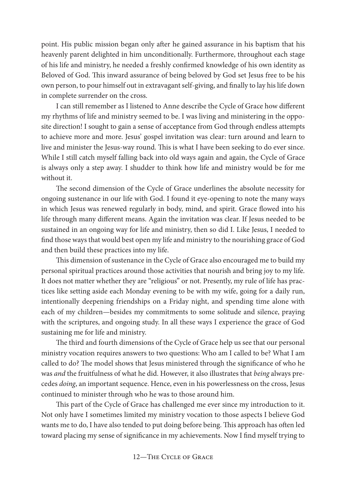point. His public mission began only afer he gained assurance in his baptism that his heavenly parent delighted in him unconditionally. Furthermore, throughout each stage of his life and ministry, he needed a freshly confrmed knowledge of his own identity as Beloved of God. This inward assurance of being beloved by God set Jesus free to be his own person, to pour himself out in extravagant self-giving, and fnally to lay his life down in complete surrender on the cross.

I can still remember as I listened to Anne describe the Cycle of Grace how diferent my rhythms of life and ministry seemed to be. I was living and ministering in the opposite direction! I sought to gain a sense of acceptance from God through endless attempts to achieve more and more. Jesus' gospel invitation was clear: turn around and learn to live and minister the Jesus-way round. This is what I have been seeking to do ever since. While I still catch myself falling back into old ways again and again, the Cycle of Grace is always only a step away. I shudder to think how life and ministry would be for me without it.

The second dimension of the Cycle of Grace underlines the absolute necessity for ongoing sustenance in our life with God. I found it eye-opening to note the many ways in which Jesus was renewed regularly in body, mind, and spirit. Grace fowed into his life through many diferent means. Again the invitation was clear. If Jesus needed to be sustained in an ongoing way for life and ministry, then so did I. Like Jesus, I needed to fnd those ways that would best open my life and ministry to the nourishing grace of God and then build these practices into my life.

This dimension of sustenance in the Cycle of Grace also encouraged me to build my personal spiritual practices around those activities that nourish and bring joy to my life. It does not matter whether they are "religious" or not. Presently, my rule of life has practices like setting aside each Monday evening to be with my wife, going for a daily run, intentionally deepening friendships on a Friday night, and spending time alone with each of my children—besides my commitments to some solitude and silence, praying with the scriptures, and ongoing study. In all these ways I experience the grace of God sustaining me for life and ministry.

The third and fourth dimensions of the Cycle of Grace help us see that our personal ministry vocation requires answers to two questions: Who am I called to be? What I am called to do? The model shows that Jesus ministered through the significance of who he was and the fruitfulness of what he did. However, it also illustrates that being always precedes doing, an important sequence. Hence, even in his powerlessness on the cross, Jesus continued to minister through who he was to those around him.

This part of the Cycle of Grace has challenged me ever since my introduction to it. Not only have I sometimes limited my ministry vocation to those aspects I believe God wants me to do, I have also tended to put doing before being. This approach has often led toward placing my sense of signifcance in my achievements. Now I fnd myself trying to